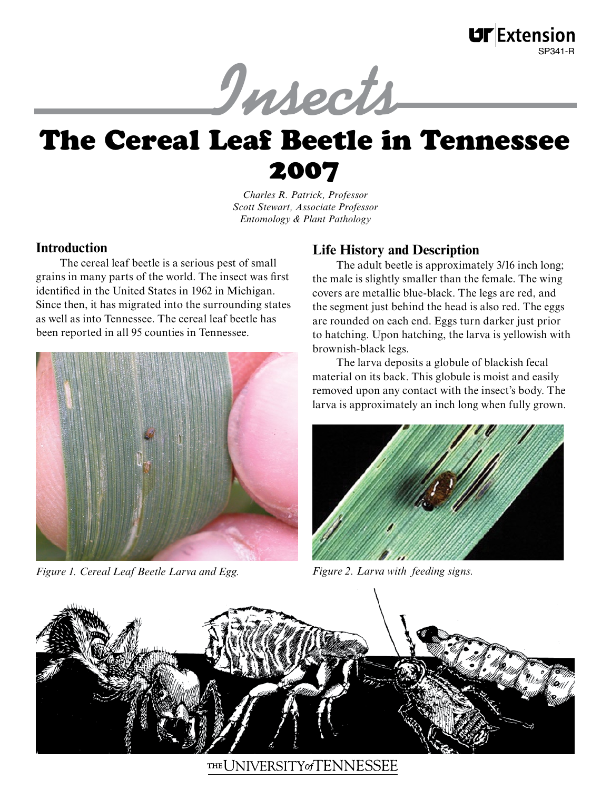

# The Cereal Leaf Beetle in Tennessee 2007

*Charles R. Patrick, Professor Scott Stewart, Associate Professor Entomology & Plant Pathology*

### **Introduction**

The cereal leaf beetle is a serious pest of small grains in many parts of the world. The insect was first identified in the United States in 1962 in Michigan. Since then, it has migrated into the surrounding states as well as into Tennessee. The cereal leaf beetle has been reported in all 95 counties in Tennessee.



*Figure 1. Cereal Leaf Beetle Larva and Egg. Figure 2. Larva with feeding signs.*

# **Life History and Description**

The adult beetle is approximately 3/16 inch long; the male is slightly smaller than the female. The wing covers are metallic blue-black. The legs are red, and the segment just behind the head is also red. The eggs are rounded on each end. Eggs turn darker just prior to hatching. Upon hatching, the larva is yellowish with brownish-black legs.

The larva deposits a globule of blackish fecal material on its back. This globule is moist and easily removed upon any contact with the insect's body. The larva is approximately an inch long when fully grown.





THE UNIVERSITY of TENNESSEE